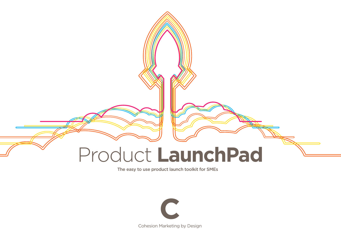

The easy to use product launch toolkit for SMEs



Cohesion Marketing by Design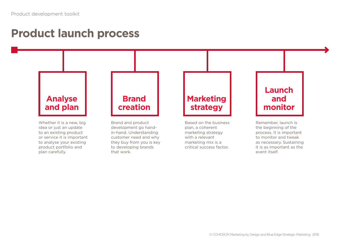### **Product launch process**

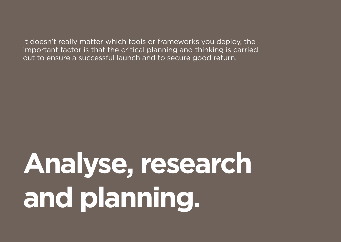It doesn't really matter which tools or frameworks you deploy, the important factor is that the critical planning and thinking is carried out to ensure a successful launch and to secure good return.

**Analyse, research and planning.**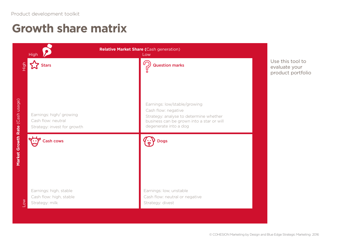### **Growth share matrix**

|                                 | Relative Market Share (Cash generation)<br><b>High</b><br>Low               |                                                                                                              |                                                        |  |  |  |  |  |
|---------------------------------|-----------------------------------------------------------------------------|--------------------------------------------------------------------------------------------------------------|--------------------------------------------------------|--|--|--|--|--|
| High                            | Stars                                                                       | <b>Question marks</b><br>Earnings: low/stable/growing<br>Cash flow: negative                                 | Use this tool to<br>evaluate your<br>product portfolio |  |  |  |  |  |
|                                 | Earnings: high/growing<br>Cash flow: neutral<br>Strategy: invest for growth | Strategy: analyse to determine whether<br>business can be grown into a star or will<br>degenerate into a dog |                                                        |  |  |  |  |  |
| Market Growth Rate (Cash usage) | <b>Cash cows</b>                                                            | <b>Dogs</b>                                                                                                  |                                                        |  |  |  |  |  |
| $\overline{\phantom{0}}$        | Earnings: high, stable<br>Cash flow: high, stable<br>Strategy: milk         | Earnings: low, unstable<br>Cash flow: neutral or negative<br>Strategy: divest                                |                                                        |  |  |  |  |  |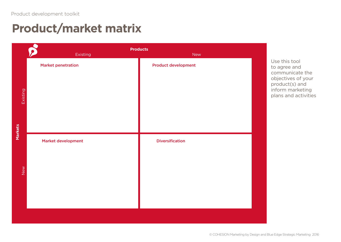### **Product/market matrix**

|          |                           | <b>Products</b>            |  |                                |  |  |  |  |
|----------|---------------------------|----------------------------|--|--------------------------------|--|--|--|--|
|          | Existing                  | <b>New</b>                 |  |                                |  |  |  |  |
|          | <b>Market penetration</b> | <b>Product development</b> |  | Use this tool<br>to agree and  |  |  |  |  |
|          |                           |                            |  | communicate                    |  |  |  |  |
|          |                           |                            |  | objectives of<br>product(s) ar |  |  |  |  |
|          |                           |                            |  | inform marke                   |  |  |  |  |
| Existing |                           |                            |  | plans and act                  |  |  |  |  |
|          |                           |                            |  |                                |  |  |  |  |
|          |                           |                            |  |                                |  |  |  |  |
|          |                           |                            |  |                                |  |  |  |  |
| Markets  |                           |                            |  |                                |  |  |  |  |
|          | Market development        | <b>Diversification</b>     |  |                                |  |  |  |  |
|          |                           |                            |  |                                |  |  |  |  |
|          |                           |                            |  |                                |  |  |  |  |
|          |                           |                            |  |                                |  |  |  |  |
| New      |                           |                            |  |                                |  |  |  |  |
|          |                           |                            |  |                                |  |  |  |  |
|          |                           |                            |  |                                |  |  |  |  |
|          |                           |                            |  |                                |  |  |  |  |
|          |                           |                            |  |                                |  |  |  |  |
|          |                           |                            |  |                                |  |  |  |  |

to agree and e the f your nd eting tivities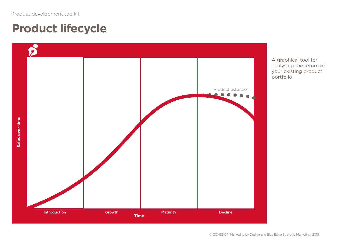### **Product lifecycle**



A graphical tool for analysing the return of your existing product portfolio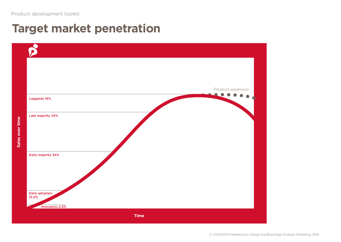### **Target market penetration**

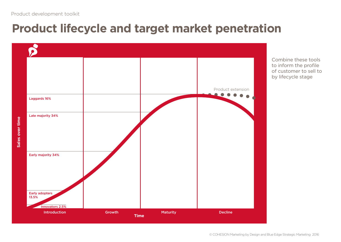# **Product lifecycle and target market penetration**



Combine these tools to inform the profile of customer to sell to by lifecycle stage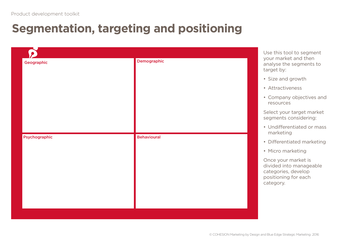## **Segmentation, targeting and positioning**

|  |                                   | your market and then<br>analyse the segments to<br>target by:                                              |  |  |  |  |
|--|-----------------------------------|------------------------------------------------------------------------------------------------------------|--|--|--|--|
|  |                                   | • Size and growth                                                                                          |  |  |  |  |
|  |                                   | • Attractiveness                                                                                           |  |  |  |  |
|  |                                   | • Company objectives and<br>resources                                                                      |  |  |  |  |
|  |                                   | Select your target market<br>segments considering:                                                         |  |  |  |  |
|  |                                   | • Undifferentiated or mass<br>marketing                                                                    |  |  |  |  |
|  |                                   | • Differentiated marketing                                                                                 |  |  |  |  |
|  |                                   | • Micro marketing                                                                                          |  |  |  |  |
|  |                                   | Once your market is<br>divided into manageable<br>categories, develop<br>positioning for each<br>category. |  |  |  |  |
|  | Demographic<br><b>Behavioural</b> |                                                                                                            |  |  |  |  |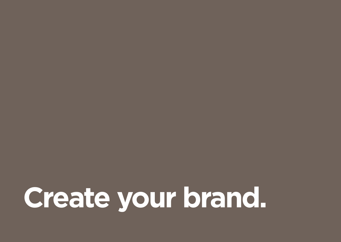# **Create your brand.**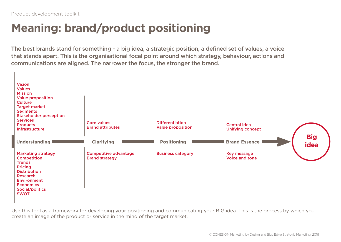### **Meaning: brand/product positioning**

The best brands stand for something - a big idea, a strategic position, a defined set of values, a voice that stands apart. This is the organisational focal point around which strategy, behaviour, actions and communications are aligned. The narrower the focus, the stronger the brand.



Use this tool as a framework for developing your positioning and communicating your BIG idea. This is the process by which you create an image of the product or service in the mind of the target market.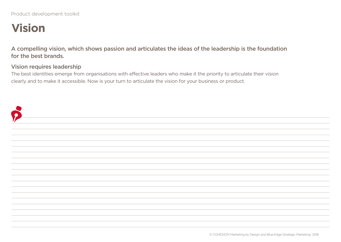### **Vision**

A compelling vision, which shows passion and articulates the ideas of the leadership is the foundation for the best brands.

#### Vision requires leadership

The best identities emerge from organisations with effective leaders who make it the priority to articulate their vision clearly and to make it accessible. Now is your turn to articulate the vision for your business or product.

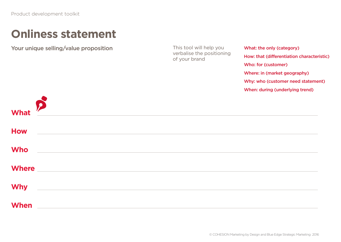### **Onliness statement**

Your unique selling/value proposition This tool will help you

verbalise the positioning of your brand

What: the only (category) How: that (differentiation characteristic) Who: for (customer) Where: in (market geography) Why: who (customer need statement) When: during (underlying trend)

| <b>What</b>  | $\boldsymbol{p}$                                                                                                     | ,我们也不能会在这里,我们的人们也不能会在这里,我们的人们也不能会在这里,我们的人们也不能会在这里,我们的人们也不能会在这里,我们的人们也不能会不能会。<br>第2012章 我们的人们的人们,我们的人们的人们的人们,我们的人们的人们的人们,我们的人们的人们的人们,我们的人们的人们,我们的人们的人们,我们的人们的人们,我 |  |
|--------------|----------------------------------------------------------------------------------------------------------------------|------------------------------------------------------------------------------------------------------------------------------------------------------------------|--|
|              |                                                                                                                      |                                                                                                                                                                  |  |
| <b>How</b>   | <u> 1989 - Andrea Station Barbara, amerikan bahasa personal di sebagai personal di sebagai personal di sebagai p</u> |                                                                                                                                                                  |  |
| <b>Who</b>   | <u> 1989 - Andrea Santa Andrea Santa Andrea Santa Andrea Santa Andrea Santa Andrea Santa Andrea Santa Andrea San</u> |                                                                                                                                                                  |  |
| <b>Where</b> | <u> 1980 - John Stein, Amerikaansk politiker (* 1980)</u>                                                            |                                                                                                                                                                  |  |
| <b>Why</b>   | <u> 1989 - John Stein, Amerikaansk politiker (* 1918)</u>                                                            |                                                                                                                                                                  |  |
| <b>When</b>  | <u> 1989 - John Stein, Amerikaansk politiker († 1918)</u>                                                            |                                                                                                                                                                  |  |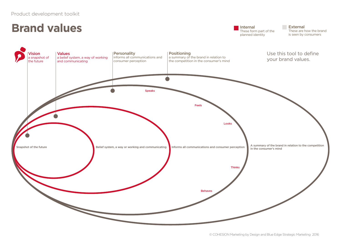### **Brand values**

Internal These form part of the planned identity

**External** These are how the brand is seen by consumers

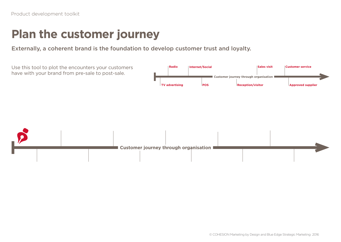### **Plan the customer journey**

Externally, a coherent brand is the foundation to develop customer trust and loyalty.

Use this tool to plot the encounters your customers have with your brand from pre-sale to post-sale.



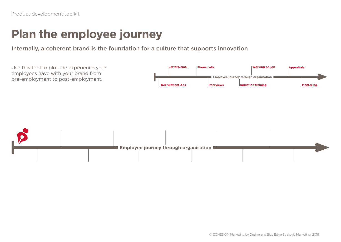### **Plan the employee journey**

Internally, a coherent brand is the foundation for a culture that supports innovation

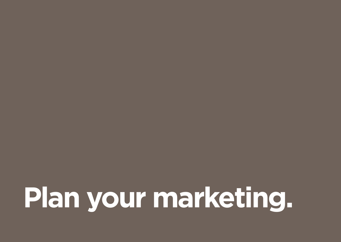**Plan your marketing.**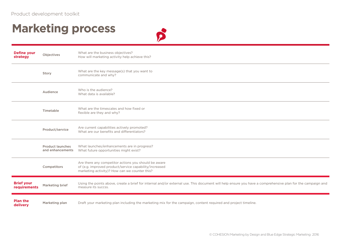### **Marketing process**



| <b>Define your</b><br>strategy    | Objectives                                  | What are the business objectives?<br>How will marketing activity help achieve this?                                                                                               |
|-----------------------------------|---------------------------------------------|-----------------------------------------------------------------------------------------------------------------------------------------------------------------------------------|
|                                   | Story                                       | What are the key message(s) that you want to<br>communicate and why?                                                                                                              |
|                                   | Audience                                    | Who is the audience?<br>What data is available?                                                                                                                                   |
|                                   | Timetable                                   | What are the timescales and how fixed or<br>flexible are they and why?                                                                                                            |
|                                   | Product/service                             | Are current capabilities actively promoted?<br>What are our benefits and differentiators?                                                                                         |
|                                   | <b>Product launches</b><br>and enhancements | What launches/enhancements are in progress?<br>What future opportunities might exist?                                                                                             |
|                                   | Competitors                                 | Are there any competitor actions you should be aware<br>of (e.g. improved product/service capability/increased<br>marketing activity)? How can we counter this?                   |
| <b>Brief your</b><br>requirements | Marketing brief                             | Using the points above, create a brief for internal and/or external use. This document will help ensure you have a comprehensive plan for the campaign and<br>measure its succss. |
| <b>Plan the</b><br>delivery       | Marketing plan                              | Draft your marketing plan including the marketing mix for the campaign, content required and project timeline.                                                                    |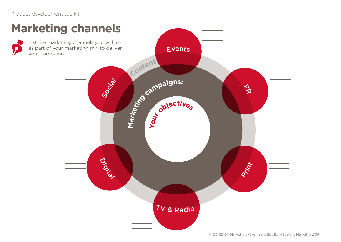### **M a r**<br>**c**<sup>ampaigns:</sup> **Conten<sup>t</sup> You<sup>r</sup> <sup>o</sup>bjective<sup>s</sup>** Digital TV & <sup>R</sup>adi<sup>o</sup> **Print** Social Events PR **Marketing channels** List the marketing channels you will use as part of your marketing mix to deliver your campaign.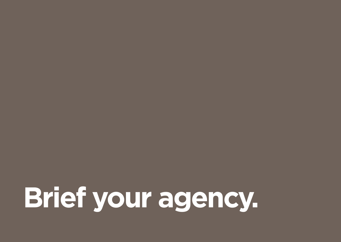**Brief your agency.**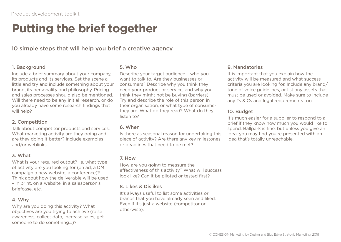### **Putting the brief together**

#### 10 simple steps that will help you brief a creative agency

#### 1. Background

Include a brief summary about your company, its products and its services. Set the scene a little and try and include something about your brand, its personality and philosophy. Pricing and sales processes should also be mentioned. Will there need to be any initial research, or do you already have some research findings that will help?

#### 2. Competition

Talk about competitor products and services. What marketing activity are they doing and are they doing it better? Include examples and/or weblinks.

#### 3. What

What is your required output? i.e. what type of activity are you looking for (an ad, a DM campaign a new website, a conference)? Think about how the deliverable will be used – in print, on a website, in a salesperson's briefcase, etc.

#### 4. Why

Why are you doing this activity? What objectives are you trying to achieve (raise awareness, collect data, increase sales, get someone to do something…)?

#### 5. Who

Describe your target audience – who you want to talk to. Are they businesses or consumers? Describe why you think they need your product or service, and why you think they might not be buying (barriers). Try and describe the role of this person in their organisation, or what type of consumer they are. What do they read? What do they listen to?

#### 6. When

Is there as seasonal reason for undertaking this piece of activity? Are there any key milestones or deadlines that need to be met?

#### 7. How

How are you going to measure the effectiveness of this activity? What will success look like? Can it be piloted or tested first?

#### 8. Likes & Dislikes

It's always useful to list some activities or brands that you have already seen and liked. Even if it's just a website (competitor or otherwise).

#### 9. Mandatories

It is important that you explain how the activity will be measured and what success criteria you are looking for. Include any brand/ tone of voice guidelines, or list any assets that must be used or avoided. Make sure to include any Ts & Cs and legal requirements too.

#### 10. Budget

It's much easier for a supplier to respond to a brief if they know how much you would like to spend. Ballpark is fine, but unless you give an idea, you may find you're presented with an idea that's totally unreachable.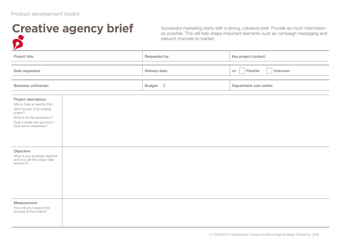### **Creative agency brief**

Successful marketing starts with a strong, cohesive brief. Provide as much information as possible. This will help shape important elements such as campaign messaging and relevant channels to market.

| $\mathcal{L}$                                                                                                                                                                                                                                                                                 |  |                |                            |  |
|-----------------------------------------------------------------------------------------------------------------------------------------------------------------------------------------------------------------------------------------------------------------------------------------------|--|----------------|----------------------------|--|
| Project title:                                                                                                                                                                                                                                                                                |  | Requested by:  | Key project contact:       |  |
| Date requested:                                                                                                                                                                                                                                                                               |  | Delivery date: | Flexible<br>Unknown<br>or: |  |
| <b>Business unit/owner:</b>                                                                                                                                                                                                                                                                   |  | Budget: £      | Department cost centre:    |  |
| Project description:<br>Why is there a need for this?<br>Will it be part of an existing<br>project?<br>What is the life expectancy?<br>Does it break new ground or<br>have some uniqueness?<br>Objective:<br>What is your business objective<br>and how will this project help<br>achieve it? |  |                |                            |  |
| Measurement:<br>How will you measure the                                                                                                                                                                                                                                                      |  |                |                            |  |
| success of this project?                                                                                                                                                                                                                                                                      |  |                |                            |  |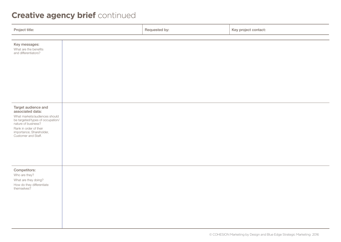### **Creative agency brief** continued

| Project title:                                                                                                                                                                                                   | Requested by: | Key project contact: |
|------------------------------------------------------------------------------------------------------------------------------------------------------------------------------------------------------------------|---------------|----------------------|
|                                                                                                                                                                                                                  |               |                      |
| Key messages:<br>What are the benefits<br>and differentiators?                                                                                                                                                   |               |                      |
| Target audience and<br>associated data:<br>What markets/audiences should<br>be targeted/types of occupation/<br>nature of business?<br>Rank in order of their<br>importance; Shareholder,<br>Customer and Staff. |               |                      |
| Competitors:<br>Who are they?<br>What are they doing?<br>How do they differentiate<br>themselves?                                                                                                                |               |                      |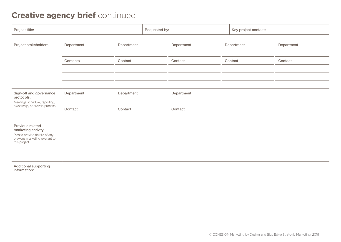### **Creative agency brief** continued

| Project title:                                                                                                              |            |            | Requested by: |            | Key project contact: |            |
|-----------------------------------------------------------------------------------------------------------------------------|------------|------------|---------------|------------|----------------------|------------|
| Project stakeholders:                                                                                                       | Department | Department |               | Department | Department           | Department |
|                                                                                                                             | Contacts   | Contact    |               | Contact    | Contact              | Contact    |
|                                                                                                                             |            |            |               |            |                      |            |
|                                                                                                                             |            |            |               |            |                      |            |
| Sign-off and governance<br>protocols:                                                                                       | Department | Department |               | Department |                      |            |
| Meetings schedule, reporting,<br>ownership, approvals process                                                               | Contact    | Contact    |               | Contact    |                      |            |
| Previous related<br>marketing activity:<br>Please provide details of any<br>previous marketing relevant to<br>this project. |            |            |               |            |                      |            |
| Additional supporting<br>information:                                                                                       |            |            |               |            |                      |            |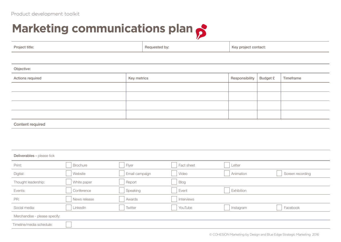# **Marketing communications plan**

| Project title:                |                 | Requested by:  |  | Key project contact: |                |                 |                  |
|-------------------------------|-----------------|----------------|--|----------------------|----------------|-----------------|------------------|
|                               |                 |                |  |                      |                |                 |                  |
| Objective:                    |                 |                |  |                      |                |                 |                  |
| Actions required              |                 | Key metrics    |  |                      | Responsibility | <b>Budget £</b> | Timeframe        |
|                               |                 |                |  |                      |                |                 |                  |
|                               |                 |                |  |                      |                |                 |                  |
|                               |                 |                |  |                      |                |                 |                  |
|                               |                 |                |  |                      |                |                 |                  |
| Content required              |                 |                |  |                      |                |                 |                  |
|                               |                 |                |  |                      |                |                 |                  |
|                               |                 |                |  |                      |                |                 |                  |
| Deliverables - please tick    |                 |                |  |                      |                |                 |                  |
| Print:                        | <b>Brochure</b> | Flyer          |  | Fact sheet           | Letter         |                 |                  |
| Digital:                      | Website         | Email campaign |  | Video                | Animation      |                 | Screen recording |
| Thought leadership:           | White paper     | Report         |  | <b>Blog</b>          |                |                 |                  |
| Events:                       | Conference      | Speaking       |  | Event                | Exhibition     |                 |                  |
| PR:                           | News release    | Awards         |  | Interviews           |                |                 |                  |
| Social media:                 | LinkedIn        | Twitter        |  | YouTube              | Instagram      |                 | Facebook         |
| Merchandise - please specify: |                 |                |  |                      |                |                 |                  |
| Timeline/media schedule:      |                 |                |  |                      |                |                 |                  |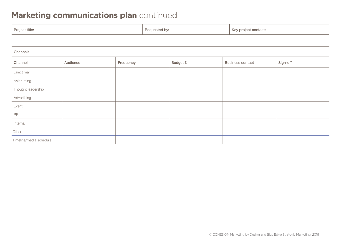### **Marketing communications plan** continued

| Project title:          |          |           |  | Requested by:   | Key project contact:    |          |  |  |  |  |
|-------------------------|----------|-----------|--|-----------------|-------------------------|----------|--|--|--|--|
|                         |          |           |  |                 |                         |          |  |  |  |  |
| Channels                |          |           |  |                 |                         |          |  |  |  |  |
| Channel                 | Audience | Frequency |  | <b>Budget £</b> | <b>Business contact</b> | Sign-off |  |  |  |  |
| Direct mail             |          |           |  |                 |                         |          |  |  |  |  |
| eMarketing              |          |           |  |                 |                         |          |  |  |  |  |
| Thought leadership      |          |           |  |                 |                         |          |  |  |  |  |
| Advertising             |          |           |  |                 |                         |          |  |  |  |  |
| Event                   |          |           |  |                 |                         |          |  |  |  |  |
| PR                      |          |           |  |                 |                         |          |  |  |  |  |
| Internal                |          |           |  |                 |                         |          |  |  |  |  |
| Other                   |          |           |  |                 |                         |          |  |  |  |  |
| Timeline/media schedule |          |           |  |                 |                         |          |  |  |  |  |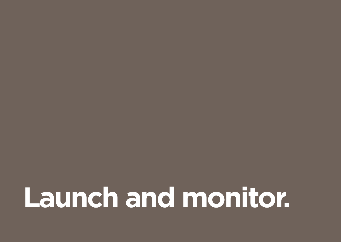**Launch and monitor.**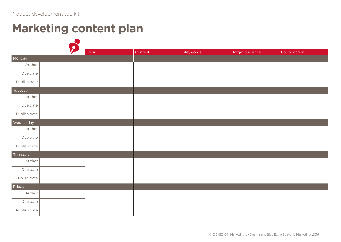### **Marketing content plan**